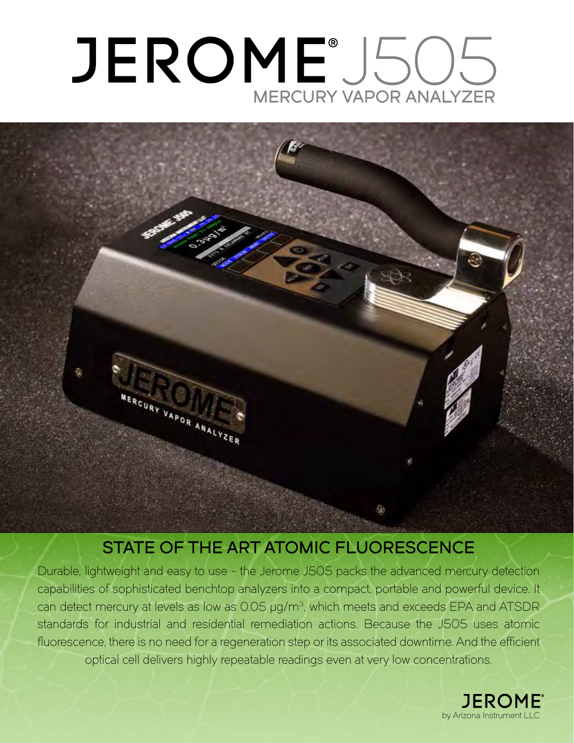# JEROME®J505 MERCURY VAPOR ANALYZER



### STATE OF THE ART ATOMIC FLUORESCENCE

Durable, lightweight and easy to use - the Jerome J505 packs the advanced mercury detection capabilities of sophisticated benchtop analyzers into a compact, portable and powerful device. It can detect mercury at levels as low as 0.05 µg/m3, which meets and exceeds EPA and ATSDR standards for industrial and residential remediation actions. Because the J505 uses atomic fluorescence, there is no need for a regeneration step or its associated downtime. And the efficient optical cell delivers highly repeatable readings even at very low concentrations.